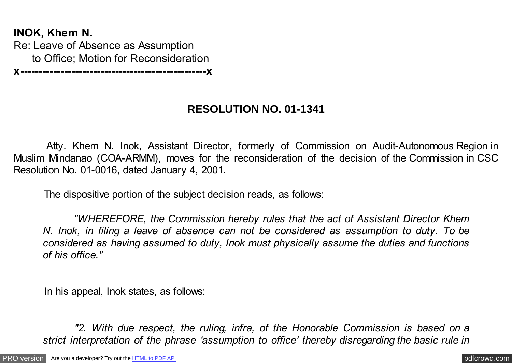**INOK, Khem N.** Re: Leave of Absence as Assumption to Office; Motion for Reconsideration

### **x---------------------------------------------------x**

# **RESOLUTION NO. 01-1341**

 Atty. Khem N. Inok, Assistant Director, formerly of Commission on Audit-Autonomous Region in Muslim Mindanao (COA-ARMM), moves for the reconsideration of the decision of the Commission in CSC Resolution No. 01-0016, dated January 4, 2001.

The dispositive portion of the subject decision reads, as follows:

 *"WHEREFORE, the Commission hereby rules that the act of Assistant Director Khem N. Inok, in filing a leave of absence can not be considered as assumption to duty. To be considered as having assumed to duty, Inok must physically assume the duties and functions of his office."*

In his appeal, Inok states, as follows:

 *"2. With due respect, the ruling, infra, of the Honorable Commission is based on a strict interpretation of the phrase 'assumption to office' thereby disregarding the basic rule in*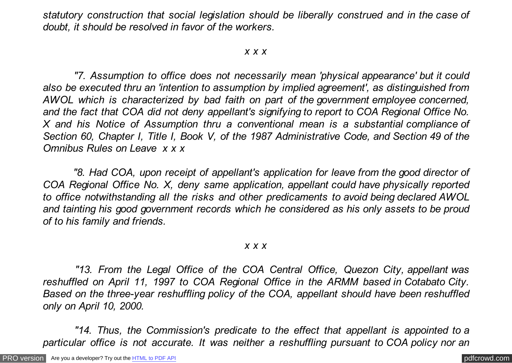*statutory construction that social legislation should be liberally construed and in the case of doubt, it should be resolved in favor of the workers.*

#### *x x x*

 *"7. Assumption to office does not necessarily mean 'physical appearance' but it could also be executed thru an 'intention to assumption by implied agreement', as distinguished from AWOL which is characterized by bad faith on part of the government employee concerned, and the fact that COA did not deny appellant's signifying to report to COA Regional Office No. X and his Notice of Assumption thru a conventional mean is a substantial compliance of Section 60, Chapter I, Title I, Book V, of the 1987 Administrative Code, and Section 49 of the Omnibus Rules on Leave x x x*

 *"8. Had COA, upon receipt of appellant's application for leave from the good director of COA Regional Office No. X, deny same application, appellant could have physically reported to office notwithstanding all the risks and other predicaments to avoid being declared AWOL and tainting his good government records which he considered as his only assets to be proud of to his family and friends.*

#### *x x x*

 *"13. From the Legal Office of the COA Central Office, Quezon City, appellant was reshuffled on April 11, 1997 to COA Regional Office in the ARMM based in Cotabato City. Based on the three-year reshuffling policy of the COA, appellant should have been reshuffled only on April 10, 2000.*

 *"14. Thus, the Commission's predicate to the effect that appellant is appointed to a particular office is not accurate. It was neither a reshuffling pursuant to COA policy nor an*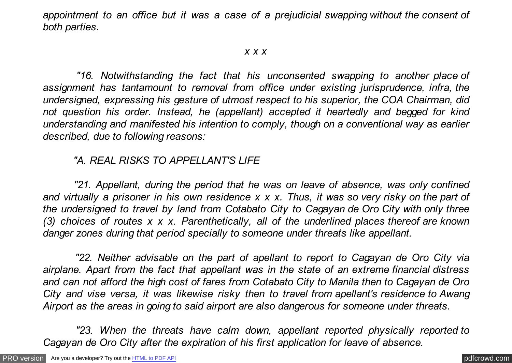*appointment to an office but it was a case of a prejudicial swapping without the consent of both parties.*

### *x x x*

 *"16. Notwithstanding the fact that his unconsented swapping to another place of assignment has tantamount to removal from office under existing jurisprudence, infra, the undersigned, expressing his gesture of utmost respect to his superior, the COA Chairman, did not question his order. Instead, he (appellant) accepted it heartedly and begged for kind understanding and manifested his intention to comply, though on a conventional way as earlier described, due to following reasons:*

## *"A. REAL RISKS TO APPELLANT'S LIFE*

 *"21. Appellant, during the period that he was on leave of absence, was only confined and virtually a prisoner in his own residence x x x. Thus, it was so very risky on the part of the undersigned to travel by land from Cotabato City to Cagayan de Oro City with only three (3) choices of routes x x x. Parenthetically, all of the underlined places thereof are known danger zones during that period specially to someone under threats like appellant.*

 *"22. Neither advisable on the part of apellant to report to Cagayan de Oro City via airplane. Apart from the fact that appellant was in the state of an extreme financial distress and can not afford the high cost of fares from Cotabato City to Manila then to Cagayan de Oro City and vise versa, it was likewise risky then to travel from apellant's residence to Awang Airport as the areas in going to said airport are also dangerous for someone under threats.*

 *"23. When the threats have calm down, appellant reported physically reported to Cagayan de Oro City after the expiration of his first application for leave of absence.*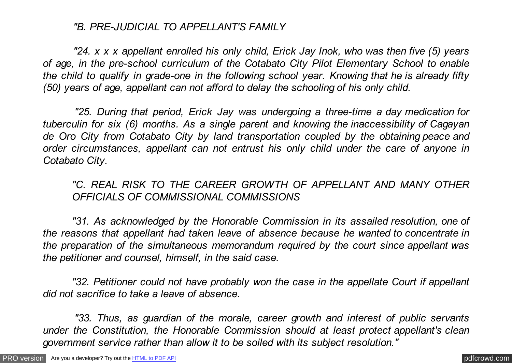## *"B. PRE-JUDICIAL TO APPELLANT'S FAMILY*

 *"24. x x x appellant enrolled his only child, Erick Jay Inok, who was then five (5) years of age, in the pre-school curriculum of the Cotabato City Pilot Elementary School to enable the child to qualify in grade-one in the following school year. Knowing that he is already fifty (50) years of age, appellant can not afford to delay the schooling of his only child.*

 *"25. During that period, Erick Jay was undergoing a three-time a day medication for tuberculin for six (6) months. As a single parent and knowing the inaccessibility of Cagayan de Oro City from Cotabato City by land transportation coupled by the obtaining peace and order circumstances, appellant can not entrust his only child under the care of anyone in Cotabato City.*

*"C. REAL RISK TO THE CAREER GROWTH OF APPELLANT AND MANY OTHER OFFICIALS OF COMMISSIONAL COMMISSIONS*

*"31. As acknowledged by the Honorable Commission in its assailed resolution, one of the reasons that appellant had taken leave of absence because he wanted to concentrate in the preparation of the simultaneous memorandum required by the court since appellant was the petitioner and counsel, himself, in the said case.*

*"32. Petitioner could not have probably won the case in the appellate Court if appellant did not sacrifice to take a leave of absence.*

 *"33. Thus, as guardian of the morale, career growth and interest of public servants under the Constitution, the Honorable Commission should at least protect appellant's clean government service rather than allow it to be soiled with its subject resolution."*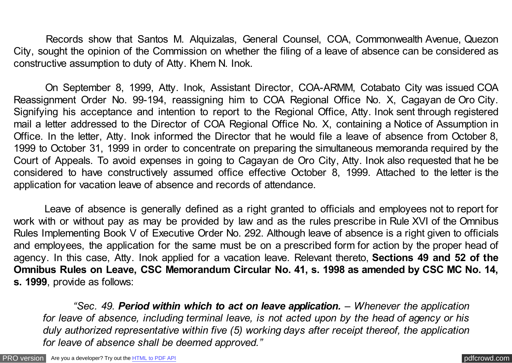Records show that Santos M. Alquizalas, General Counsel, COA, Commonwealth Avenue, Quezon City, sought the opinion of the Commission on whether the filing of a leave of absence can be considered as constructive assumption to duty of Atty. Khem N. Inok.

 On September 8, 1999, Atty. Inok, Assistant Director, COA-ARMM, Cotabato City was issued COA Reassignment Order No. 99-194, reassigning him to COA Regional Office No. X, Cagayan de Oro City. Signifying his acceptance and intention to report to the Regional Office, Atty. Inok sent through registered mail a letter addressed to the Director of COA Regional Office No. X, containing a Notice of Assumption in Office. In the letter, Atty. Inok informed the Director that he would file a leave of absence from October 8, 1999 to October 31, 1999 in order to concentrate on preparing the simultaneous memoranda required by the Court of Appeals. To avoid expenses in going to Cagayan de Oro City, Atty. Inok also requested that he be considered to have constructively assumed office effective October 8, 1999. Attached to the letter is the application for vacation leave of absence and records of attendance.

 Leave of absence is generally defined as a right granted to officials and employees not to report for work with or without pay as may be provided by law and as the rules prescribe in Rule XVI of the Omnibus Rules Implementing Book V of Executive Order No. 292. Although leave of absence is a right given to officials and employees, the application for the same must be on a prescribed form for action by the proper head of agency. In this case, Atty. Inok applied for a vacation leave. Relevant thereto, **Sections 49 and 52 of the Omnibus Rules on Leave, CSC Memorandum Circular No. 41, s. 1998 as amended by CSC MC No. 14, s. 1999**, provide as follows:

 *"Sec. 49. Period within which to act on leave application. – Whenever the application for leave of absence, including terminal leave, is not acted upon by the head of agency or his duly authorized representative within five (5) working days after receipt thereof, the application for leave of absence shall be deemed approved."*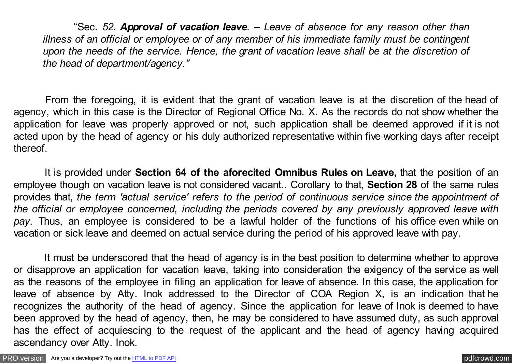"Sec*. 52. Approval of vacation leave. – Leave of absence for any reason other than illness of an official or employee or of any member of his immediate family must be contingent upon the needs of the service. Hence, the grant of vacation leave shall be at the discretion of the head of department/agency."*

From the foregoing, it is evident that the grant of vacation leave is at the discretion of the head of agency, which in this case is the Director of Regional Office No. X. As the records do not show whether the application for leave was properly approved or not, such application shall be deemed approved if it is not acted upon by the head of agency or his duly authorized representative within five working days after receipt thereof.

 It is provided under **Section 64 of the aforecited Omnibus Rules on Leave,** that the position of an employee though on vacation leave is not considered vacant.**.** Corollary to that, **Section 28** of the same rules provides that, *the term 'actual service' refers to the period of continuous service since the appointment of the official or employee concerned, including the periods covered by any previously approved leave with pay.* Thus, an employee is considered to be a lawful holder of the functions of his office even while on vacation or sick leave and deemed on actual service during the period of his approved leave with pay.

 It must be underscored that the head of agency is in the best position to determine whether to approve or disapprove an application for vacation leave, taking into consideration the exigency of the service as well as the reasons of the employee in filing an application for leave of absence. In this case, the application for leave of absence by Atty. Inok addressed to the Director of COA Region X, is an indication that he recognizes the authority of the head of agency. Since the application for leave of Inok is deemed to have been approved by the head of agency, then, he may be considered to have assumed duty, as such approval has the effect of acquiescing to the request of the applicant and the head of agency having acquired ascendancy over Atty. Inok.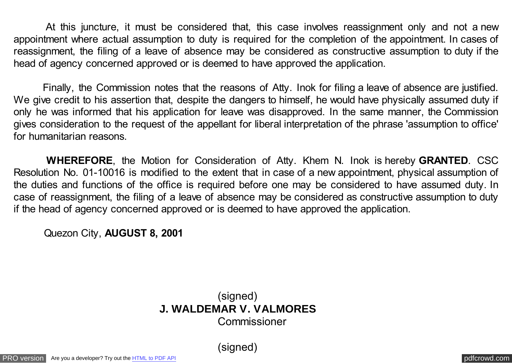At this juncture, it must be considered that, this case involves reassignment only and not a new appointment where actual assumption to duty is required for the completion of the appointment. In cases of reassignment, the filing of a leave of absence may be considered as constructive assumption to duty if the head of agency concerned approved or is deemed to have approved the application.

Finally, the Commission notes that the reasons of Atty. Inok for filing a leave of absence are justified. We give credit to his assertion that, despite the dangers to himself, he would have physically assumed duty if only he was informed that his application for leave was disapproved. In the same manner, the Commission gives consideration to the request of the appellant for liberal interpretation of the phrase 'assumption to office' for humanitarian reasons.

 **WHEREFORE**, the Motion for Consideration of Atty. Khem N. Inok is hereby **GRANTED**. CSC Resolution No. 01-10016 is modified to the extent that in case of a new appointment, physical assumption of the duties and functions of the office is required before one may be considered to have assumed duty. In case of reassignment, the filing of a leave of absence may be considered as constructive assumption to duty if the head of agency concerned approved or is deemed to have approved the application.

Quezon City, **AUGUST 8, 2001**

(signed) **J. WALDEMAR V. VALMORES** Commissioner

(signed)